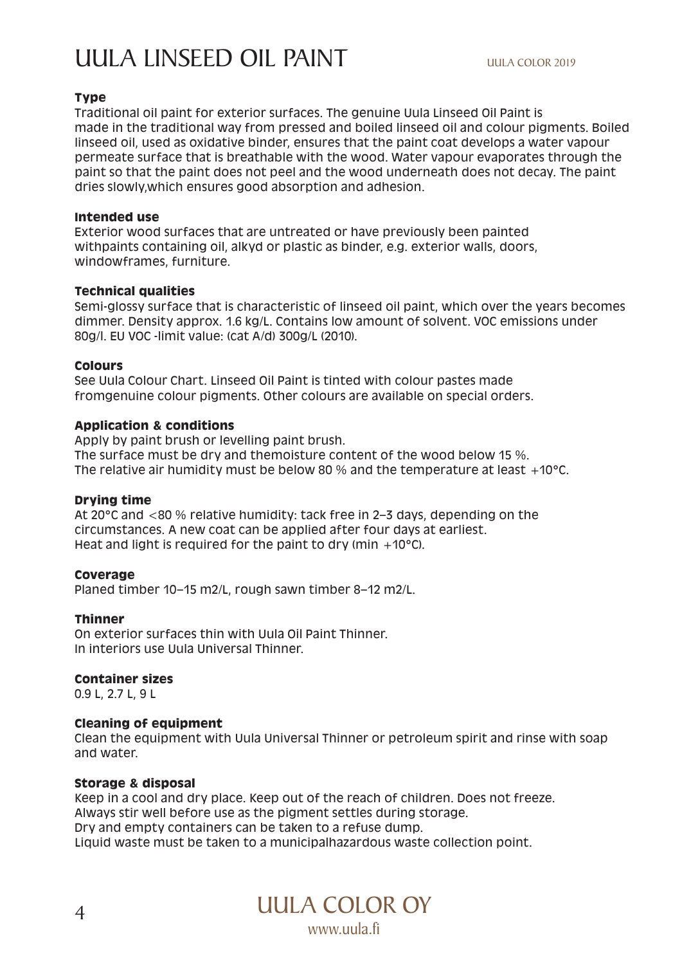# UULA LINSEED OIL PAINT UULA COLOR 2019

# **Type**

Traditional oil paint for exterior surfaces. The genuine Uula Linseed Oil Paint is made in the traditional way from pressed and boiled linseed oil and colour pigments. Boiled linseed oil, used as oxidative binder, ensures that the paint coat develops a water vapour permeate surface that is breathable with the wood. Water vapour evaporates through the paint so that the paint does not peel and the wood underneath does not decay. The paint dries slowly,which ensures good absorption and adhesion.

## **Intended use**

Exterior wood surfaces that are untreated or have previously been painted withpaints containing oil, alkyd or plastic as binder, e.g. exterior walls, doors, windowframes, furniture.

## **Technical qualities**

Semi-glossy surface that is characteristic of linseed oil paint, which over the years becomes dimmer. Density approx. 1.6 kg/L. Contains low amount of solvent. VOC emissions under 80g/l. EU VOC -limit value: (cat A/d) 300g/L (2010).

## **Colours**

See Uula Colour Chart. Linseed Oil Paint is tinted with colour pastes made fromgenuine colour pigments. Other colours are available on special orders.

# **Application & conditions**

Apply by paint brush or levelling paint brush. The surface must be dry and themoisture content of the wood below 15 %. The relative air humidity must be below 80 % and the temperature at least +10°C.

## **Drying time**

At 20°C and <80 % relative humidity: tack free in 2–3 days, depending on the circumstances. A new coat can be applied after four days at earliest. Heat and light is required for the paint to dry (min  $+10^{\circ}$ C).

# **Coverage**

Planed timber 10–15 m2/L, rough sawn timber 8–12 m2/L.

# **Thinner**

On exterior surfaces thin with Uula Oil Paint Thinner. In interiors use Uula Universal Thinner.

# **Container sizes**

0.9 L, 2.7 L, 9 L

# **Cleaning of equipment**

Clean the equipment with Uula Universal Thinner or petroleum spirit and rinse with soap and water.

## **Storage & disposal**

Keep in a cool and dry place. Keep out of the reach of children. Does not freeze. Always stir well before use as the pigment settles during storage. Dry and empty containers can be taken to a refuse dump. Liquid waste must be taken to a municipalhazardous waste collection point.